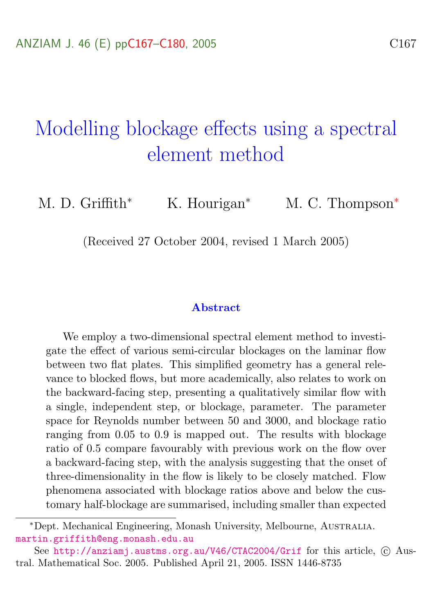# <span id="page-0-0"></span>Modelling blockage effects using a spectral element method

M. D. Griffith<sup>\*</sup> K. Hourigan<sup>\*</sup> M. C. Thompson<sup>\*</sup>

(Received 27 October 2004, revised 1 March 2005)

#### Abstract

We employ a two-dimensional spectral element method to investigate the effect of various semi-circular blockages on the laminar flow between two flat plates. This simplified geometry has a general relevance to blocked flows, but more academically, also relates to work on the backward-facing step, presenting a qualitatively similar flow with a single, independent step, or blockage, parameter. The parameter space for Reynolds number between 50 and 3000, and blockage ratio ranging from 0.05 to 0.9 is mapped out. The results with blockage ratio of 0.5 compare favourably with previous work on the flow over a backward-facing step, with the analysis suggesting that the onset of three-dimensionality in the flow is likely to be closely matched. Flow phenomena associated with blockage ratios above and below the customary half-blockage are summarised, including smaller than expected

<sup>∗</sup>Dept. Mechanical Engineering, Monash University, Melbourne, Australia. <martin.griffith@eng.monash.edu.au>

See <http://anziamj.austms.org.au/V46/CTAC2004/Grif> for this article,  $\odot$  Austral. Mathematical Soc. 2005. Published April 21, 2005. ISSN 1446-8735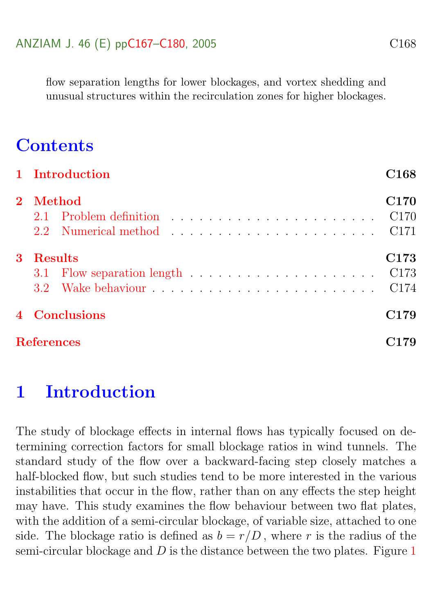flow separation lengths for lower blockages, and vortex shedding and unusual structures within the recirculation zones for higher blockages.

# **Contents**

|             | 1 Introduction    | C <sub>168</sub>                             |
|-------------|-------------------|----------------------------------------------|
| $2^{\circ}$ | Method            | <b>C170</b><br>C <sub>170</sub>              |
| 3           | <b>Results</b>    | C173<br>C <sub>173</sub><br>C <sub>174</sub> |
|             | 4 Conclusions     | C <sub>179</sub>                             |
|             | <b>References</b> | 79                                           |

# <span id="page-1-0"></span>1 Introduction

The study of blockage effects in internal flows has typically focused on determining correction factors for small blockage ratios in wind tunnels. The standard study of the flow over a backward-facing step closely matches a half-blocked flow, but such studies tend to be more interested in the various instabilities that occur in the flow, rather than on any effects the step height may have. This study examines the flow behaviour between two flat plates, with the addition of a semi-circular blockage, of variable size, attached to one side. The blockage ratio is defined as  $b = r/D$ , where r is the radius of the semi-circular blockage and  $D$  is the distance between the two plates. Figure [1](#page-2-0)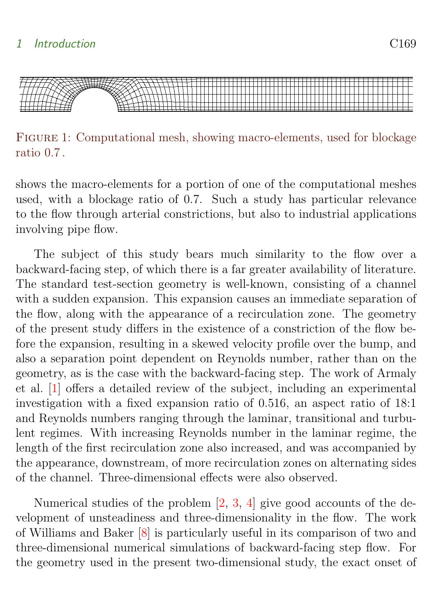<span id="page-2-1"></span>

<span id="page-2-0"></span>Figure 1: Computational mesh, showing macro-elements, used for blockage ratio 0.7 .

shows the macro-elements for a portion of one of the computational meshes used, with a blockage ratio of 0.7. Such a study has particular relevance to the flow through arterial constrictions, but also to industrial applications involving pipe flow.

The subject of this study bears much similarity to the flow over a backward-facing step, of which there is a far greater availability of literature. The standard test-section geometry is well-known, consisting of a channel with a sudden expansion. This expansion causes an immediate separation of the flow, along with the appearance of a recirculation zone. The geometry of the present study differs in the existence of a constriction of the flow before the expansion, resulting in a skewed velocity profile over the bump, and also a separation point dependent on Reynolds number, rather than on the geometry, as is the case with the backward-facing step. The work of Armaly et al. [\[1\]](#page-12-2) offers a detailed review of the subject, including an experimental investigation with a fixed expansion ratio of 0.516, an aspect ratio of 18:1 and Reynolds numbers ranging through the laminar, transitional and turbulent regimes. With increasing Reynolds number in the laminar regime, the length of the first recirculation zone also increased, and was accompanied by the appearance, downstream, of more recirculation zones on alternating sides of the channel. Three-dimensional effects were also observed.

Numerical studies of the problem [\[2,](#page-13-0) [3,](#page-13-1) [4\]](#page-13-2) give good accounts of the development of unsteadiness and three-dimensionality in the flow. The work of Williams and Baker [\[8\]](#page-13-3) is particularly useful in its comparison of two and three-dimensional numerical simulations of backward-facing step flow. For the geometry used in the present two-dimensional study, the exact onset of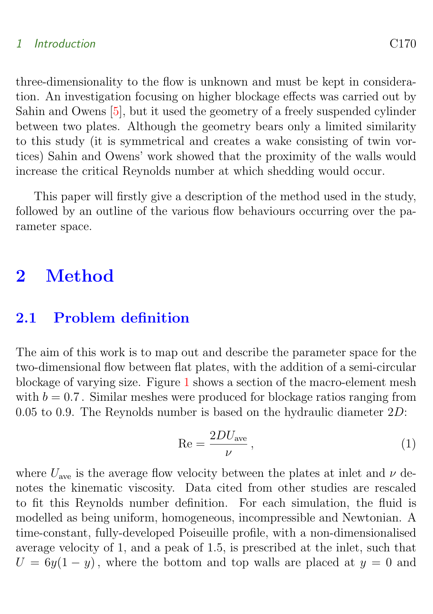#### <span id="page-3-2"></span>1 Introduction C170

three-dimensionality to the flow is unknown and must be kept in consideration. An investigation focusing on higher blockage effects was carried out by Sahin and Owens [\[5\]](#page-13-4), but it used the geometry of a freely suspended cylinder between two plates. Although the geometry bears only a limited similarity to this study (it is symmetrical and creates a wake consisting of twin vortices) Sahin and Owens' work showed that the proximity of the walls would increase the critical Reynolds number at which shedding would occur.

This paper will firstly give a description of the method used in the study, followed by an outline of the various flow behaviours occurring over the parameter space.

### <span id="page-3-0"></span>2 Method

### <span id="page-3-1"></span>2.1 Problem definition

The aim of this work is to map out and describe the parameter space for the two-dimensional flow between flat plates, with the addition of a semi-circular blockage of varying size. Figure [1](#page-2-0) shows a section of the macro-element mesh with  $b = 0.7$ . Similar meshes were produced for blockage ratios ranging from 0.05 to 0.9. The Reynolds number is based on the hydraulic diameter 2D:

$$
\text{Re} = \frac{2DU_{\text{ave}}}{\nu},\tag{1}
$$

where  $U_{\text{ave}}$  is the average flow velocity between the plates at inlet and  $\nu$  denotes the kinematic viscosity. Data cited from other studies are rescaled to fit this Reynolds number definition. For each simulation, the fluid is modelled as being uniform, homogeneous, incompressible and Newtonian. A time-constant, fully-developed Poiseuille profile, with a non-dimensionalised average velocity of 1, and a peak of 1.5, is prescribed at the inlet, such that  $U = 6y(1 - y)$ , where the bottom and top walls are placed at  $y = 0$  and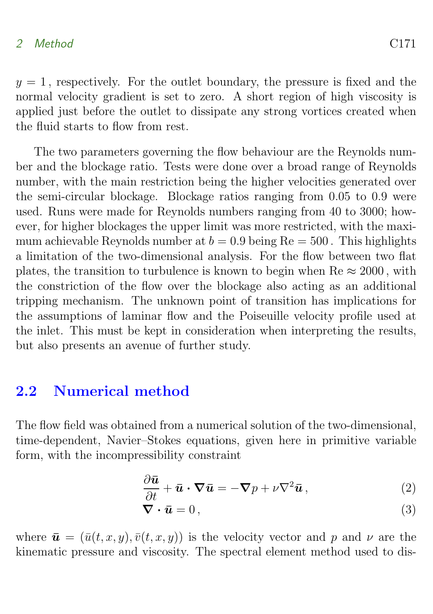#### 2 Method C171

 $y = 1$ , respectively. For the outlet boundary, the pressure is fixed and the normal velocity gradient is set to zero. A short region of high viscosity is applied just before the outlet to dissipate any strong vortices created when the fluid starts to flow from rest.

The two parameters governing the flow behaviour are the Reynolds number and the blockage ratio. Tests were done over a broad range of Reynolds number, with the main restriction being the higher velocities generated over the semi-circular blockage. Blockage ratios ranging from 0.05 to 0.9 were used. Runs were made for Reynolds numbers ranging from 40 to 3000; however, for higher blockages the upper limit was more restricted, with the maximum achievable Reynolds number at  $b = 0.9$  being Re = 500. This highlights a limitation of the two-dimensional analysis. For the flow between two flat plates, the transition to turbulence is known to begin when  $\text{Re} \approx 2000$ , with the constriction of the flow over the blockage also acting as an additional tripping mechanism. The unknown point of transition has implications for the assumptions of laminar flow and the Poiseuille velocity profile used at the inlet. This must be kept in consideration when interpreting the results, but also presents an avenue of further study.

### <span id="page-4-0"></span>2.2 Numerical method

The flow field was obtained from a numerical solution of the two-dimensional, time-dependent, Navier–Stokes equations, given here in primitive variable form, with the incompressibility constraint

$$
\frac{\partial \bar{\mathbf{u}}}{\partial t} + \bar{\mathbf{u}} \cdot \nabla \bar{\mathbf{u}} = -\nabla p + \nu \nabla^2 \bar{\mathbf{u}}, \qquad (2)
$$

<span id="page-4-1"></span>
$$
\nabla \cdot \bar{\boldsymbol{u}} = 0, \tag{3}
$$

where  $\bar{\mathbf{u}} = (\bar{u}(t, x, y), \bar{v}(t, x, y))$  is the velocity vector and p and  $\nu$  are the kinematic pressure and viscosity. The spectral element method used to dis-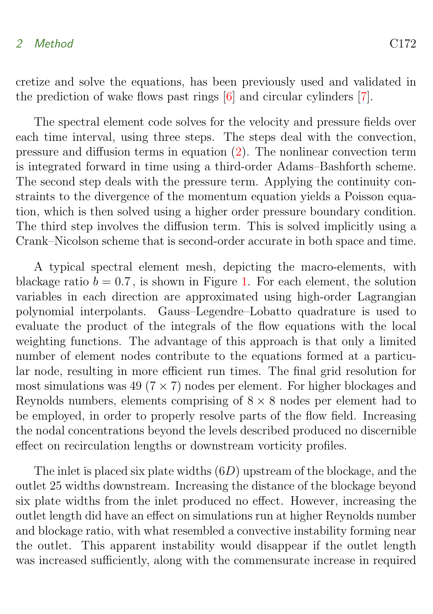#### <span id="page-5-0"></span>2 Method C172

cretize and solve the equations, has been previously used and validated in the prediction of wake flows past rings [\[6\]](#page-13-5) and circular cylinders [\[7\]](#page-13-6).

The spectral element code solves for the velocity and pressure fields over each time interval, using three steps. The steps deal with the convection, pressure and diffusion terms in equation [\(2\)](#page-4-1). The nonlinear convection term is integrated forward in time using a third-order Adams–Bashforth scheme. The second step deals with the pressure term. Applying the continuity constraints to the divergence of the momentum equation yields a Poisson equation, which is then solved using a higher order pressure boundary condition. The third step involves the diffusion term. This is solved implicitly using a Crank–Nicolson scheme that is second-order accurate in both space and time.

A typical spectral element mesh, depicting the macro-elements, with blackage ratio  $b = 0.7$ , is shown in Figure [1.](#page-2-0) For each element, the solution variables in each direction are approximated using high-order Lagrangian polynomial interpolants. Gauss–Legendre–Lobatto quadrature is used to evaluate the product of the integrals of the flow equations with the local weighting functions. The advantage of this approach is that only a limited number of element nodes contribute to the equations formed at a particular node, resulting in more efficient run times. The final grid resolution for most simulations was 49 ( $7 \times 7$ ) nodes per element. For higher blockages and Reynolds numbers, elements comprising of  $8 \times 8$  nodes per element had to be employed, in order to properly resolve parts of the flow field. Increasing the nodal concentrations beyond the levels described produced no discernible effect on recirculation lengths or downstream vorticity profiles.

The inlet is placed six plate widths  $(6D)$  upstream of the blockage, and the outlet 25 widths downstream. Increasing the distance of the blockage beyond six plate widths from the inlet produced no effect. However, increasing the outlet length did have an effect on simulations run at higher Reynolds number and blockage ratio, with what resembled a convective instability forming near the outlet. This apparent instability would disappear if the outlet length was increased sufficiently, along with the commensurate increase in required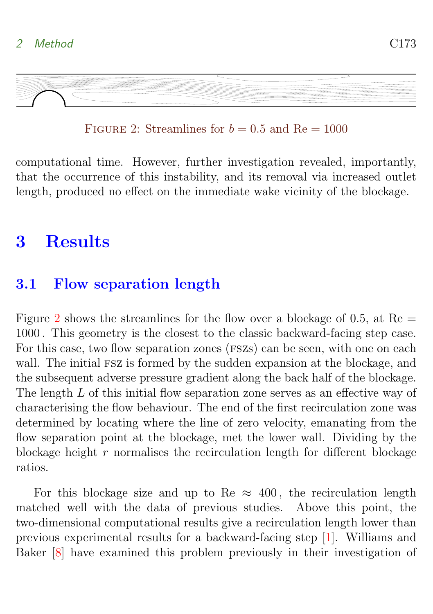<span id="page-6-3"></span>

<span id="page-6-2"></span>FIGURE 2: Streamlines for  $b = 0.5$  and  $Re = 1000$ 

computational time. However, further investigation revealed, importantly, that the occurrence of this instability, and its removal via increased outlet length, produced no effect on the immediate wake vicinity of the blockage.

# <span id="page-6-0"></span>3 Results

### <span id="page-6-1"></span>3.1 Flow separation length

Figure [2](#page-6-2) shows the streamlines for the flow over a blockage of 0.5, at  $Re =$ 1000 . This geometry is the closest to the classic backward-facing step case. For this case, two flow separation zones (FSZs) can be seen, with one on each wall. The initial FSZ is formed by the sudden expansion at the blockage, and the subsequent adverse pressure gradient along the back half of the blockage. The length L of this initial flow separation zone serves as an effective way of characterising the flow behaviour. The end of the first recirculation zone was determined by locating where the line of zero velocity, emanating from the flow separation point at the blockage, met the lower wall. Dividing by the blockage height  $r$  normalises the recirculation length for different blockage ratios.

For this blockage size and up to Re  $\approx$  400, the recirculation length matched well with the data of previous studies. Above this point, the two-dimensional computational results give a recirculation length lower than previous experimental results for a backward-facing step [\[1\]](#page-12-2). Williams and Baker [\[8\]](#page-13-3) have examined this problem previously in their investigation of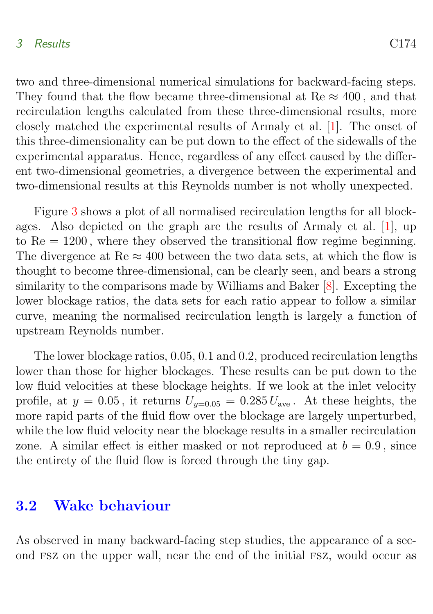#### <span id="page-7-1"></span>3 Results C174

two and three-dimensional numerical simulations for backward-facing steps. They found that the flow became three-dimensional at  $\text{Re} \approx 400$ , and that recirculation lengths calculated from these three-dimensional results, more closely matched the experimental results of Armaly et al. [\[1\]](#page-12-2). The onset of this three-dimensionality can be put down to the effect of the sidewalls of the experimental apparatus. Hence, regardless of any effect caused by the different two-dimensional geometries, a divergence between the experimental and two-dimensional results at this Reynolds number is not wholly unexpected.

Figure [3](#page-8-0) shows a plot of all normalised recirculation lengths for all blockages. Also depicted on the graph are the results of Armaly et al. [\[1\]](#page-12-2), up to  $Re = 1200$ , where they observed the transitional flow regime beginning. The divergence at  $\text{Re} \approx 400$  between the two data sets, at which the flow is thought to become three-dimensional, can be clearly seen, and bears a strong similarity to the comparisons made by Williams and Baker [\[8\]](#page-13-3). Excepting the lower blockage ratios, the data sets for each ratio appear to follow a similar curve, meaning the normalised recirculation length is largely a function of upstream Reynolds number.

The lower blockage ratios, 0.05, 0.1 and 0.2, produced recirculation lengths lower than those for higher blockages. These results can be put down to the low fluid velocities at these blockage heights. If we look at the inlet velocity profile, at  $y = 0.05$ , it returns  $U_{y=0.05} = 0.285 U_{\text{ave}}$ . At these heights, the more rapid parts of the fluid flow over the blockage are largely unperturbed, while the low fluid velocity near the blockage results in a smaller recirculation zone. A similar effect is either masked or not reproduced at  $b = 0.9$ , since the entirety of the fluid flow is forced through the tiny gap.

### <span id="page-7-0"></span>3.2 Wake behaviour

As observed in many backward-facing step studies, the appearance of a second fsz on the upper wall, near the end of the initial fsz, would occur as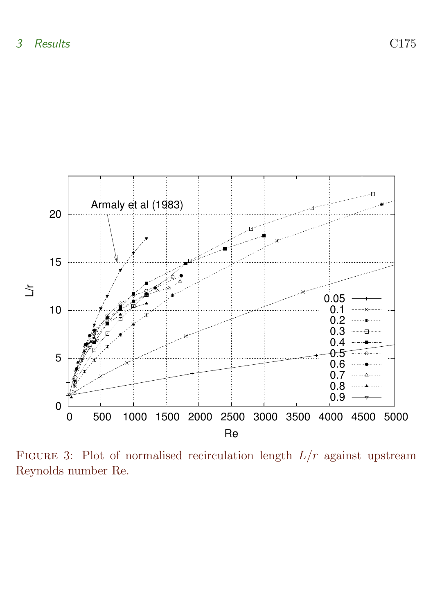

<span id="page-8-0"></span>FIGURE 3: Plot of normalised recirculation length  $L/r$  against upstream Reynolds number Re.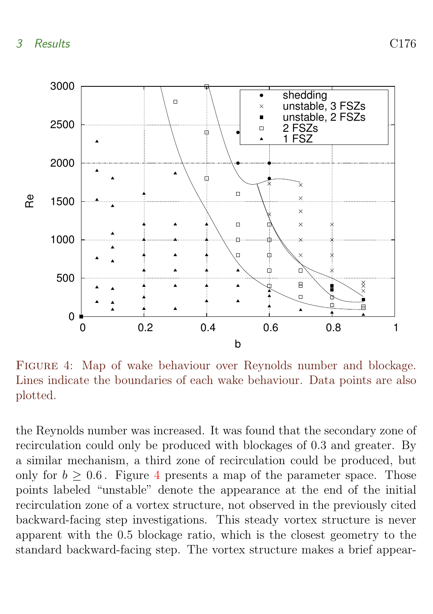

<span id="page-9-0"></span>Figure 4: Map of wake behaviour over Reynolds number and blockage. Lines indicate the boundaries of each wake behaviour. Data points are also plotted.

the Reynolds number was increased. It was found that the secondary zone of recirculation could only be produced with blockages of 0.3 and greater. By a similar mechanism, a third zone of recirculation could be produced, but only for  $b > 0.6$ . Figure [4](#page-9-0) presents a map of the parameter space. Those points labeled "unstable" denote the appearance at the end of the initial recirculation zone of a vortex structure, not observed in the previously cited backward-facing step investigations. This steady vortex structure is never apparent with the 0.5 blockage ratio, which is the closest geometry to the standard backward-facing step. The vortex structure makes a brief appear-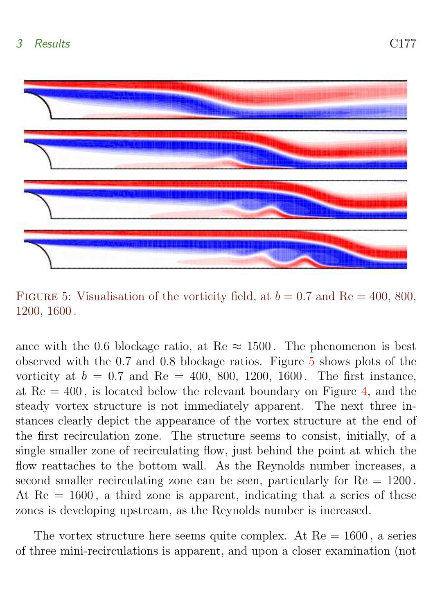

<span id="page-10-0"></span>FIGURE 5: Visualisation of the vorticity field, at  $b = 0.7$  and Re = 400, 800, 1200, 1600 .

ance with the 0.6 blockage ratio, at Re  $\approx$  1500. The phenomenon is best observed with the 0.7 and 0.8 blockage ratios. Figure [5](#page-10-0) shows plots of the vorticity at  $b = 0.7$  and Re = 400, 800, 1200, 1600. The first instance, at  $Re = 400$ , is located below the relevant boundary on Figure [4,](#page-9-0) and the steady vortex structure is not immediately apparent. The next three instances clearly depict the appearance of the vortex structure at the end of the first recirculation zone. The structure seems to consist, initially, of a single smaller zone of recirculating flow, just behind the point at which the flow reattaches to the bottom wall. As the Reynolds number increases, a second smaller recirculating zone can be seen, particularly for  $Re = 1200$ . At  $Re = 1600$ , a third zone is apparent, indicating that a series of these zones is developing upstream, as the Reynolds number is increased.

The vortex structure here seems quite complex. At  $Re = 1600$ , a series of three mini-recirculations is apparent, and upon a closer examination (not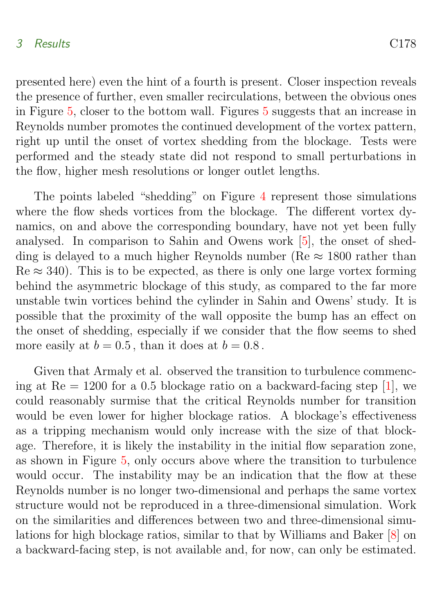#### <span id="page-11-0"></span>3 Results C178

presented here) even the hint of a fourth is present. Closer inspection reveals the presence of further, even smaller recirculations, between the obvious ones in Figure [5,](#page-10-0) closer to the bottom wall. Figures [5](#page-10-0) suggests that an increase in Reynolds number promotes the continued development of the vortex pattern, right up until the onset of vortex shedding from the blockage. Tests were performed and the steady state did not respond to small perturbations in the flow, higher mesh resolutions or longer outlet lengths.

The points labeled "shedding" on Figure [4](#page-9-0) represent those simulations where the flow sheds vortices from the blockage. The different vortex dynamics, on and above the corresponding boundary, have not yet been fully analysed. In comparison to Sahin and Owens work [\[5\]](#page-13-4), the onset of shedding is delayed to a much higher Reynolds number ( $\text{Re} \approx 1800$  rather than  $\text{Re} \approx 340$ ). This is to be expected, as there is only one large vortex forming behind the asymmetric blockage of this study, as compared to the far more unstable twin vortices behind the cylinder in Sahin and Owens' study. It is possible that the proximity of the wall opposite the bump has an effect on the onset of shedding, especially if we consider that the flow seems to shed more easily at  $b = 0.5$ , than it does at  $b = 0.8$ .

Given that Armaly et al. observed the transition to turbulence commencing at  $Re = 1200$  for a 0.5 blockage ratio on a backward-facing step [\[1\]](#page-12-2), we could reasonably surmise that the critical Reynolds number for transition would be even lower for higher blockage ratios. A blockage's effectiveness as a tripping mechanism would only increase with the size of that blockage. Therefore, it is likely the instability in the initial flow separation zone, as shown in Figure [5,](#page-10-0) only occurs above where the transition to turbulence would occur. The instability may be an indication that the flow at these Reynolds number is no longer two-dimensional and perhaps the same vortex structure would not be reproduced in a three-dimensional simulation. Work on the similarities and differences between two and three-dimensional simulations for high blockage ratios, similar to that by Williams and Baker [\[8\]](#page-13-3) on a backward-facing step, is not available and, for now, can only be estimated.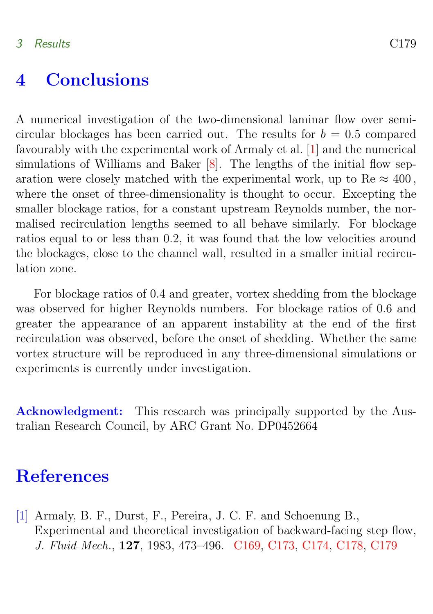### <span id="page-12-3"></span><span id="page-12-1"></span>4 Conclusions

A numerical investigation of the two-dimensional laminar flow over semicircular blockages has been carried out. The results for  $b = 0.5$  compared favourably with the experimental work of Armaly et al. [\[1\]](#page-12-2) and the numerical simulations of Williams and Baker [\[8\]](#page-13-3). The lengths of the initial flow separation were closely matched with the experimental work, up to Re  $\approx 400$ , where the onset of three-dimensionality is thought to occur. Excepting the smaller blockage ratios, for a constant upstream Reynolds number, the normalised recirculation lengths seemed to all behave similarly. For blockage ratios equal to or less than 0.2, it was found that the low velocities around the blockages, close to the channel wall, resulted in a smaller initial recirculation zone.

For blockage ratios of 0.4 and greater, vortex shedding from the blockage was observed for higher Reynolds numbers. For blockage ratios of 0.6 and greater the appearance of an apparent instability at the end of the first recirculation was observed, before the onset of shedding. Whether the same vortex structure will be reproduced in any three-dimensional simulations or experiments is currently under investigation.

Acknowledgment: This research was principally supported by the Australian Research Council, by ARC Grant No. DP0452664

## **References**

<span id="page-12-2"></span><span id="page-12-0"></span>[1] Armaly, B. F., Durst, F., Pereira, J. C. F. and Schoenung B., Experimental and theoretical investigation of backward-facing step flow, J. Fluid Mech., 127, 1983, 473–496. [C169,](#page-2-1) [C173,](#page-6-3) [C174,](#page-7-1) [C178,](#page-11-0) [C179](#page-12-3)